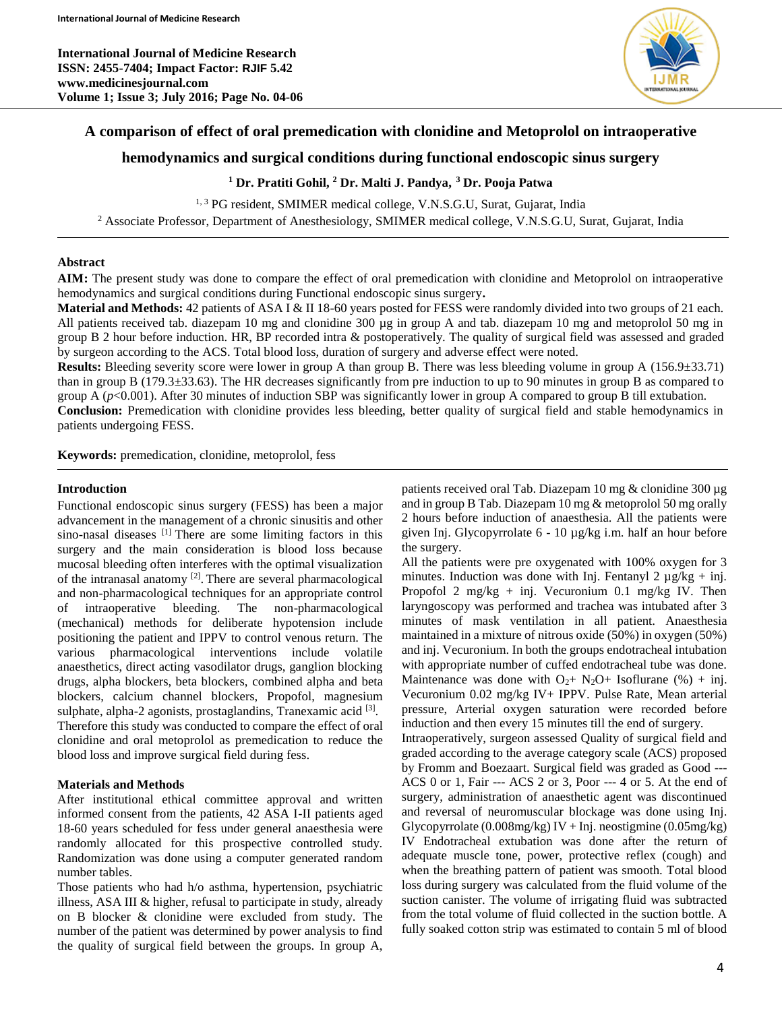**International Journal of Medicine Research ISSN: 2455-7404; Impact Factor: RJIF 5.42 www.medicinesjournal.com Volume 1; Issue 3; July 2016; Page No. 04-06**



# **A comparison of effect of oral premedication with clonidine and Metoprolol on intraoperative**

# **hemodynamics and surgical conditions during functional endoscopic sinus surgery**

## **<sup>1</sup> Dr. Pratiti Gohil, <sup>2</sup> Dr. Malti J. Pandya, <sup>3</sup> Dr. Pooja Patwa**

<sup>1, 3</sup> PG resident, SMIMER medical college, V.N.S.G.U, Surat, Gujarat, India <sup>2</sup> Associate Professor, Department of Anesthesiology, SMIMER medical college, V.N.S.G.U, Surat, Gujarat, India

### **Abstract**

**AIM:** The present study was done to compare the effect of oral premedication with clonidine and Metoprolol on intraoperative hemodynamics and surgical conditions during Functional endoscopic sinus surgery**.**

**Material and Methods:** 42 patients of ASA I & II 18-60 years posted for FESS were randomly divided into two groups of 21 each. All patients received tab. diazepam 10 mg and clonidine 300 µg in group A and tab. diazepam 10 mg and metoprolol 50 mg in group B 2 hour before induction. HR, BP recorded intra & postoperatively. The quality of surgical field was assessed and graded by surgeon according to the ACS. Total blood loss, duration of surgery and adverse effect were noted.

**Results:** Bleeding severity score were lower in group A than group B. There was less bleeding volume in group A (156.9±33.71) than in group B (179.3±33.63). The HR decreases significantly from pre induction to up to 90 minutes in group B as compared to group A ( $p$ <0.001). After 30 minutes of induction SBP was significantly lower in group A compared to group B till extubation.

**Conclusion:** Premedication with clonidine provides less bleeding, better quality of surgical field and stable hemodynamics in patients undergoing FESS.

**Keywords:** premedication, clonidine, metoprolol, fess

#### **Introduction**

Functional endoscopic sinus surgery (FESS) has been a major advancement in the management of a chronic sinusitis and other sino-nasal diseases [1] There are some limiting factors in this surgery and the main consideration is blood loss because mucosal bleeding often interferes with the optimal visualization of the intranasal anatomy <sup>[2]</sup>. There are several pharmacological and non-pharmacological techniques for an appropriate control of intraoperative bleeding. The non-pharmacological (mechanical) methods for deliberate hypotension include positioning the patient and IPPV to control venous return. The various pharmacological interventions include volatile anaesthetics, direct acting vasodilator drugs, ganglion blocking drugs, alpha blockers, beta blockers, combined alpha and beta blockers, calcium channel blockers, Propofol, magnesium sulphate, alpha-2 agonists, prostaglandins, Tranexamic acid <a>[3]</a>. Therefore this study was conducted to compare the effect of oral clonidine and oral metoprolol as premedication to reduce the blood loss and improve surgical field during fess.

#### **Materials and Methods**

After institutional ethical committee approval and written informed consent from the patients, 42 ASA I-II patients aged 18-60 years scheduled for fess under general anaesthesia were randomly allocated for this prospective controlled study. Randomization was done using a computer generated random number tables.

Those patients who had h/o asthma, hypertension, psychiatric illness, ASA III & higher, refusal to participate in study, already on B blocker & clonidine were excluded from study. The number of the patient was determined by power analysis to find the quality of surgical field between the groups. In group A, patients received oral Tab. Diazepam 10 mg & clonidine 300 µg and in group B Tab. Diazepam 10 mg & metoprolol 50 mg orally 2 hours before induction of anaesthesia. All the patients were given Inj. Glycopyrrolate 6 - 10 µg/kg i.m. half an hour before the surgery.

All the patients were pre oxygenated with 100% oxygen for 3 minutes. Induction was done with Inj. Fentanyl 2  $\mu$ g/kg + inj. Propofol 2 mg/kg + inj. Vecuronium 0.1 mg/kg IV. Then laryngoscopy was performed and trachea was intubated after 3 minutes of mask ventilation in all patient. Anaesthesia maintained in a mixture of nitrous oxide (50%) in oxygen (50%) and inj. Vecuronium. In both the groups endotracheal intubation with appropriate number of cuffed endotracheal tube was done. Maintenance was done with  $O_{2}$ + N<sub>2</sub>O+ Isoflurane (%) + inj. Vecuronium 0.02 mg/kg IV+ IPPV. Pulse Rate, Mean arterial pressure, Arterial oxygen saturation were recorded before induction and then every 15 minutes till the end of surgery.

Intraoperatively, surgeon assessed Quality of surgical field and graded according to the average category scale (ACS) proposed by Fromm and Boezaart. Surgical field was graded as Good --- ACS 0 or 1, Fair --- ACS 2 or 3, Poor --- 4 or 5. At the end of surgery, administration of anaesthetic agent was discontinued and reversal of neuromuscular blockage was done using Inj. Glycopyrrolate  $(0.008mg/kg)$  IV + Inj. neostigmine  $(0.05mg/kg)$ IV Endotracheal extubation was done after the return of adequate muscle tone, power, protective reflex (cough) and when the breathing pattern of patient was smooth. Total blood loss during surgery was calculated from the fluid volume of the suction canister. The volume of irrigating fluid was subtracted from the total volume of fluid collected in the suction bottle. A fully soaked cotton strip was estimated to contain 5 ml of blood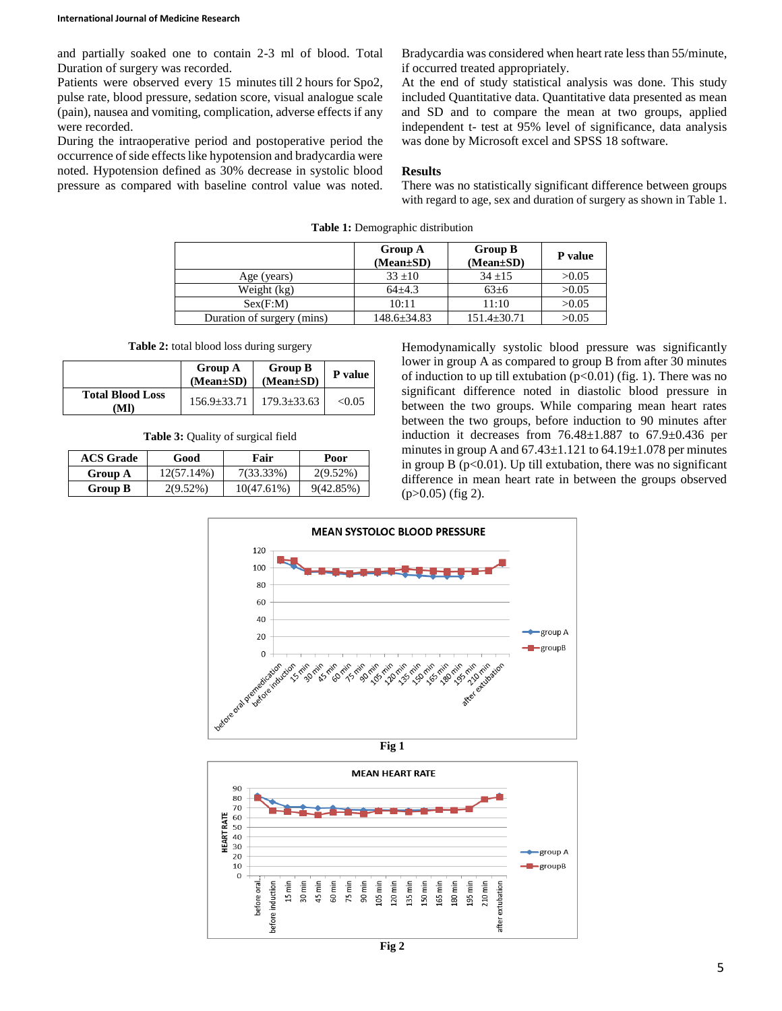and partially soaked one to contain 2-3 ml of blood. Total Duration of surgery was recorded.

Patients were observed every 15 minutes till 2 hours for Spo2, pulse rate, blood pressure, sedation score, visual analogue scale (pain), nausea and vomiting, complication, adverse effects if any were recorded.

During the intraoperative period and postoperative period the occurrence of side effects like hypotension and bradycardia were noted. Hypotension defined as 30% decrease in systolic blood pressure as compared with baseline control value was noted. Bradycardia was considered when heart rate less than 55/minute, if occurred treated appropriately.

At the end of study statistical analysis was done. This study included Quantitative data. Quantitative data presented as mean and SD and to compare the mean at two groups, applied independent t- test at 95% level of significance, data analysis was done by Microsoft excel and SPSS 18 software.

#### **Results**

There was no statistically significant difference between groups with regard to age, sex and duration of surgery as shown in Table 1.

|                            | <b>Group A</b><br>$(Mean \pm SD)$ | <b>Group B</b><br>$(Mean \pm SD)$ | P value |
|----------------------------|-----------------------------------|-----------------------------------|---------|
| Age (years)                | $33 \pm 10$                       | $34 \pm 15$                       | >0.05   |
| Weight (kg)                | $64 + 4.3$                        | $63+6$                            | >0.05   |
| Sex(F:M)                   | 10:11                             | 11:10                             | >0.05   |
| Duration of surgery (mins) | $148.6 \pm 34.83$                 | $151.4 \pm 30.71$                 | >0.05   |

**Table 1:** Demographic distribution

**Table 2:** total blood loss during surgery

|                                | <b>Group A</b><br>$(Mean \pm SD)$ | <b>Group B</b><br>$(Mean \pm SD)$     | P value |
|--------------------------------|-----------------------------------|---------------------------------------|---------|
| <b>Total Blood Loss</b><br>MI) |                                   | $156.9 \pm 33.71$   $179.3 \pm 33.63$ | < 0.05  |

**Table 3:** Quality of surgical field

| <b>ACS Grade</b> | Good        | Fair       | Poor         |
|------------------|-------------|------------|--------------|
| Group A          | 12(57.14%)  | 7(33.33%)  | $2(9.52\%)$  |
| Group B          | $2(9.52\%)$ | 10(47.61%) | $9(42.85\%)$ |

Hemodynamically systolic blood pressure was significantly lower in group A as compared to group B from after 30 minutes of induction to up till extubation  $(p<0.01)$  (fig. 1). There was no significant difference noted in diastolic blood pressure in between the two groups. While comparing mean heart rates between the two groups, before induction to 90 minutes after induction it decreases from  $76.48 \pm 1.887$  to  $67.9 \pm 0.436$  per minutes in group A and  $67.43 \pm 1.121$  to  $64.19 \pm 1.078$  per minutes in group B ( $p<0.01$ ). Up till extubation, there was no significant difference in mean heart rate in between the groups observed  $(p>0.05)$  (fig 2).